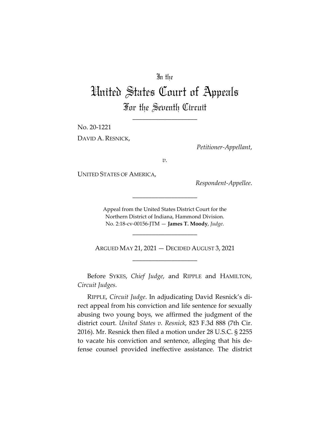# In the

# United States Court of Appeals For the Seventh Circuit

\_\_\_\_\_\_\_\_\_\_\_\_\_\_\_\_\_\_\_\_

No. 20-1221

DAVID A. RESNICK,

*Petitioner-Appellant*,

*v.*

UNITED STATES OF AMERICA,

*Respondent-Appellee*.

Appeal from the United States District Court for the Northern District of Indiana, Hammond Division. No. 2:18-cv-00156-JTM — **James T. Moody**, *Judge*.

\_\_\_\_\_\_\_\_\_\_\_\_\_\_\_\_\_\_\_\_

\_\_\_\_\_\_\_\_\_\_\_\_\_\_\_\_\_\_\_\_

ARGUED MAY 21, 2021 — DECIDED AUGUST 3, 2021 \_\_\_\_\_\_\_\_\_\_\_\_\_\_\_\_\_\_\_\_

Before SYKES, *Chief Judge*, and RIPPLE and HAMILTON, *Circuit Judges*.

RIPPLE, *Circuit Judge*. In adjudicating David Resnick's direct appeal from his conviction and life sentence for sexually abusing two young boys, we affirmed the judgment of the district court. *United States v. Resnick*, 823 F.3d 888 (7th Cir. 2016). Mr. Resnick then filed a motion under 28 U.S.C. § 2255 to vacate his conviction and sentence, alleging that his defense counsel provided ineffective assistance. The district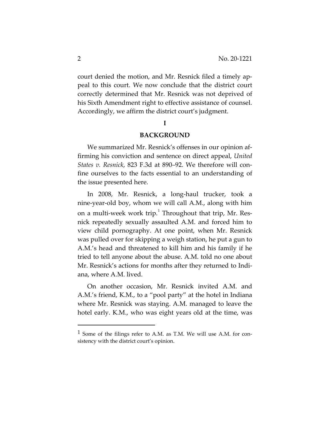court denied the motion, and Mr. Resnick filed a timely appeal to this court. We now conclude that the district court correctly determined that Mr. Resnick was not deprived of his Sixth Amendment right to effective assistance of counsel. Accordingly, we affirm the district court's judgment.

## **I**

#### **BACKGROUND**

We summarized Mr. Resnick's offenses in our opinion affirming his conviction and sentence on direct appeal, *United States v. Resnick*, 823 F.3d at 890–92. We therefore will confine ourselves to the facts essential to an understanding of the issue presented here.

In 2008, Mr. Resnick, a long-haul trucker, took a nine-year-old boy, whom we will call A.M., along with him on a multi-week work trip.<sup>1</sup> Throughout that trip, Mr. Resnick repeatedly sexually assaulted A.M. and forced him to view child pornography. At one point, when Mr. Resnick was pulled over for skipping a weigh station, he put a gun to A.M.'s head and threatened to kill him and his family if he tried to tell anyone about the abuse. A.M. told no one about Mr. Resnick's actions for months after they returned to Indiana, where A.M. lived.

On another occasion, Mr. Resnick invited A.M. and A.M.'s friend, K.M., to a "pool party" at the hotel in Indiana where Mr. Resnick was staying. A.M. managed to leave the hotel early. K.M., who was eight years old at the time, was

 $1$  Some of the filings refer to A.M. as T.M. We will use A.M. for consistency with the district court's opinion.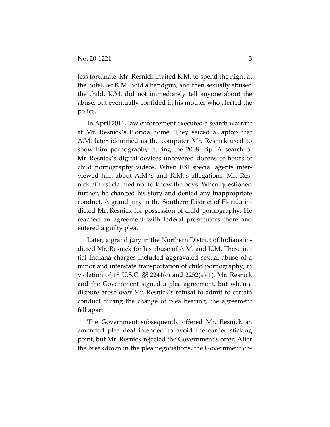less fortunate. Mr. Resnick invited K.M. to spend the night at the hotel, let K.M. hold a handgun, and then sexually abused the child. K.M. did not immediately tell anyone about the abuse, but eventually confided in his mother who alerted the police.

In April 2011, law enforcement executed a search warrant at Mr. Resnick's Florida home. They seized a laptop that A.M. later identified as the computer Mr. Resnick used to show him pornography during the 2008 trip. A search of Mr. Resnick's digital devices uncovered dozens of hours of child pornography videos. When FBI special agents interviewed him about A.M.'s and K.M.'s allegations, Mr. Resnick at first claimed not to know the boys. When questioned further, he changed his story and denied any inappropriate conduct. A grand jury in the Southern District of Florida indicted Mr. Resnick for possession of child pornography. He reached an agreement with federal prosecutors there and entered a guilty plea.

Later, a grand jury in the Northern District of Indiana indicted Mr. Resnick for his abuse of A.M. and K.M. These initial Indiana charges included aggravated sexual abuse of a minor and interstate transportation of child pornography, in violation of 18 U.S.C. §§ 2241(c) and 2252(a)(1). Mr. Resnick and the Government signed a plea agreement, but when a dispute arose over Mr. Resnick's refusal to admit to certain conduct during the change of plea hearing, the agreement fell apart.

The Government subsequently offered Mr. Resnick an amended plea deal intended to avoid the earlier sticking point, but Mr. Resnick rejected the Government's offer. After the breakdown in the plea negotiations, the Government ob-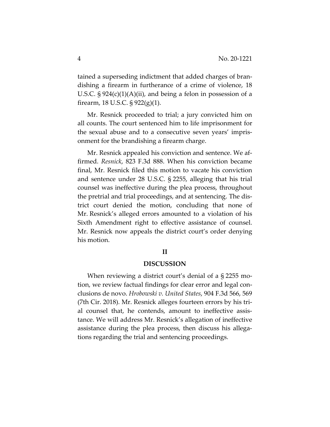tained a superseding indictment that added charges of brandishing a firearm in furtherance of a crime of violence, 18 U.S.C.  $\S 924(c)(1)(A)(ii)$ , and being a felon in possession of a firearm, 18 U.S.C. § 922(g)(1).

Mr. Resnick proceeded to trial; a jury convicted him on all counts. The court sentenced him to life imprisonment for the sexual abuse and to a consecutive seven years' imprisonment for the brandishing a firearm charge.

Mr. Resnick appealed his conviction and sentence. We affirmed. *Resnick*, 823 F.3d 888. When his conviction became final, Mr. Resnick filed this motion to vacate his conviction and sentence under 28 U.S.C. § 2255, alleging that his trial counsel was ineffective during the plea process, throughout the pretrial and trial proceedings, and at sentencing. The district court denied the motion, concluding that none of Mr. Resnick's alleged errors amounted to a violation of his Sixth Amendment right to effective assistance of counsel. Mr. Resnick now appeals the district court's order denying his motion.

#### **II**

#### **DISCUSSION**

When reviewing a district court's denial of a § 2255 motion, we review factual findings for clear error and legal conclusions de novo. *Hrobowski v. United States*, 904 F.3d 566, 569 (7th Cir. 2018). Mr. Resnick alleges fourteen errors by his trial counsel that, he contends, amount to ineffective assistance. We will address Mr. Resnick's allegation of ineffective assistance during the plea process, then discuss his allegations regarding the trial and sentencing proceedings.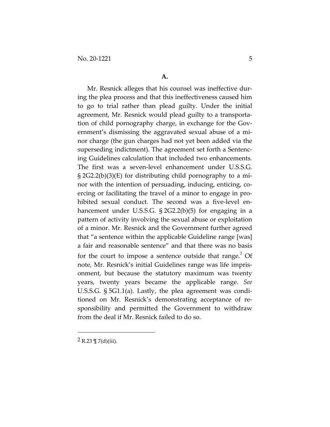Mr. Resnick alleges that his counsel was ineffective during the plea process and that this ineffectiveness caused him to go to trial rather than plead guilty. Under the initial agreement, Mr. Resnick would plead guilty to a transportation of child pornography charge, in exchange for the Government's dismissing the aggravated sexual abuse of a minor charge (the gun charges had not yet been added via the superseding indictment). The agreement set forth a Sentencing Guidelines calculation that included two enhancements. The first was a seven-level enhancement under U.S.S.G. § 2G2.2(b)(3)(E) for distributing child pornography to a minor with the intention of persuading, inducing, enticing, coercing or facilitating the travel of a minor to engage in prohibited sexual conduct. The second was a five-level enhancement under U.S.S.G. § 2G2.2(b)(5) for engaging in a pattern of activity involving the sexual abuse or exploitation of a minor. Mr. Resnick and the Government further agreed that "a sentence within the applicable Guideline range [was] a fair and reasonable sentence" and that there was no basis for the court to impose a sentence outside that  $range<sup>2</sup>$  Of note, Mr. Resnick's initial Guidelines range was life imprisonment, but because the statutory maximum was twenty years, twenty years became the applicable range. *See*  U.S.S.G. § 5G1.1(a). Lastly, the plea agreement was conditioned on Mr. Resnick's demonstrating acceptance of responsibility and permitted the Government to withdraw from the deal if Mr. Resnick failed to do so.

2 R.23  $\P$  7(d)(iii).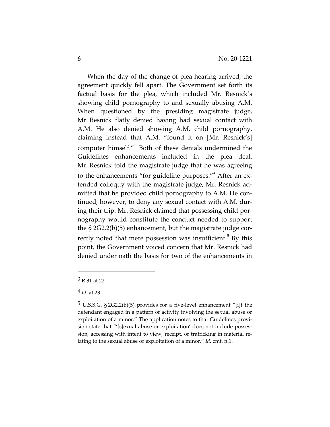When the day of the change of plea hearing arrived, the agreement quickly fell apart. The Government set forth its factual basis for the plea, which included Mr. Resnick's showing child pornography to and sexually abusing A.M. When questioned by the presiding magistrate judge, Mr. Resnick flatly denied having had sexual contact with A.M. He also denied showing A.M. child pornography, claiming instead that A.M. "found it on [Mr. Resnick's] computer himself."<sup>3</sup> Both of these denials undermined the Guidelines enhancements included in the plea deal. Mr. Resnick told the magistrate judge that he was agreeing to the enhancements "for guideline purposes."<sup>4</sup> After an extended colloquy with the magistrate judge, Mr. Resnick admitted that he provided child pornography to A.M. He continued, however, to deny any sexual contact with A.M. during their trip. Mr. Resnick claimed that possessing child pornography would constitute the conduct needed to support the § 2G2.2(b)(5) enhancement, but the magistrate judge correctly noted that mere possession was insufficient.<sup>5</sup> By this point, the Government voiced concern that Mr. Resnick had denied under oath the basis for two of the enhancements in

<sup>3</sup> R.31 at 22.

<sup>4</sup> *Id.* at 23.

<sup>5</sup> U.S.S.G. § 2G2.2(b)(5) provides for a five-level enhancement "[i]f the defendant engaged in a pattern of activity involving the sexual abuse or exploitation of a minor." The application notes to that Guidelines provision state that "'[s]exual abuse or exploitation' does not include possession, accessing with intent to view, receipt, or trafficking in material relating to the sexual abuse or exploitation of a minor." *Id.* cmt. n.1.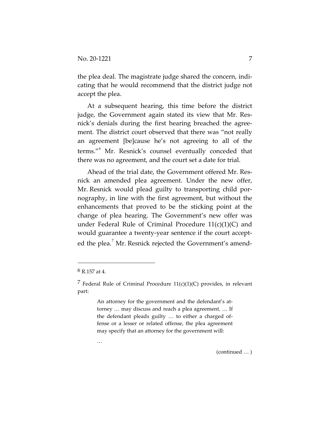the plea deal. The magistrate judge shared the concern, indicating that he would recommend that the district judge not accept the plea.

At a subsequent hearing, this time before the district judge, the Government again stated its view that Mr. Resnick's denials during the first hearing breached the agreement. The district court observed that there was "not really an agreement [be]cause he's not agreeing to all of the terms."<sup>6</sup> Mr. Resnick's counsel eventually conceded that there was no agreement, and the court set a date for trial.

Ahead of the trial date, the Government offered Mr. Resnick an amended plea agreement. Under the new offer, Mr. Resnick would plead guilty to transporting child pornography, in line with the first agreement, but without the enhancements that proved to be the sticking point at the change of plea hearing. The Government's new offer was under Federal Rule of Criminal Procedure 11(c)(1)(C) and would guarantee a twenty-year sentence if the court accepted the plea.<sup>7</sup> Mr. Resnick rejected the Government's amend-

An attorney for the government and the defendant's attorney … may discuss and reach a plea agreement. … If the defendant pleads guilty … to either a charged offense or a lesser or related offense, the plea agreement may specify that an attorney for the government will:

…

(continued … )

 $6R$  157 at 4.

<sup>&</sup>lt;sup>7</sup> Federal Rule of Criminal Procedure  $11(c)(1)(C)$  provides, in relevant part: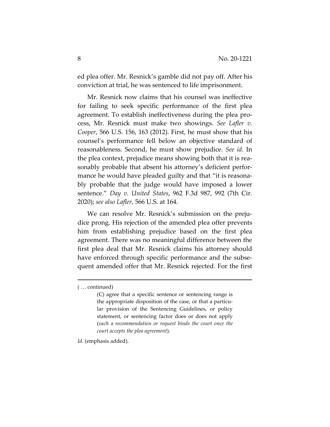ed plea offer. Mr. Resnick's gamble did not pay off. After his conviction at trial, he was sentenced to life imprisonment.

Mr. Resnick now claims that his counsel was ineffective for failing to seek specific performance of the first plea agreement. To establish ineffectiveness during the plea process, Mr. Resnick must make two showings. *See Lafler v. Cooper*, 566 U.S. 156, 163 (2012). First, he must show that his counsel's performance fell below an objective standard of reasonableness. Second, he must show prejudice. *See id.* In the plea context, prejudice means showing both that it is reasonably probable that absent his attorney's deficient performance he would have pleaded guilty and that "it is reasonably probable that the judge would have imposed a lower sentence." *Day v. United States*, 962 F.3d 987, 992 (7th Cir. 2020); *see also Lafler*, 566 U.S. at 164.

We can resolve Mr. Resnick's submission on the prejudice prong. His rejection of the amended plea offer prevents him from establishing prejudice based on the first plea agreement. There was no meaningful difference between the first plea deal that Mr. Resnick claims his attorney should have enforced through specific performance and the subsequent amended offer that Mr. Resnick rejected. For the first

*Id.* (emphasis added).

<sup>( …</sup> continued)

<sup>(</sup>C) agree that a specific sentence or sentencing range is the appropriate disposition of the case, or that a particular provision of the Sentencing Guidelines, or policy statement, or sentencing factor does or does not apply (*such a recommendation or request binds the court once the court accepts the plea agreement*).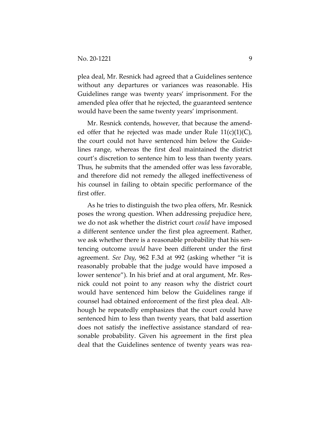plea deal, Mr. Resnick had agreed that a Guidelines sentence without any departures or variances was reasonable. His Guidelines range was twenty years' imprisonment. For the amended plea offer that he rejected, the guaranteed sentence would have been the same twenty years' imprisonment.

Mr. Resnick contends, however, that because the amended offer that he rejected was made under Rule  $11(c)(1)(C)$ , the court could not have sentenced him below the Guidelines range, whereas the first deal maintained the district court's discretion to sentence him to less than twenty years. Thus, he submits that the amended offer was less favorable, and therefore did not remedy the alleged ineffectiveness of his counsel in failing to obtain specific performance of the first offer.

As he tries to distinguish the two plea offers, Mr. Resnick poses the wrong question. When addressing prejudice here, we do not ask whether the district court *could* have imposed a different sentence under the first plea agreement. Rather, we ask whether there is a reasonable probability that his sentencing outcome *would* have been different under the first agreement. *See Day*, 962 F.3d at 992 (asking whether "it is reasonably probable that the judge would have imposed a lower sentence"). In his brief and at oral argument, Mr. Resnick could not point to any reason why the district court would have sentenced him below the Guidelines range if counsel had obtained enforcement of the first plea deal. Although he repeatedly emphasizes that the court could have sentenced him to less than twenty years, that bald assertion does not satisfy the ineffective assistance standard of reasonable probability. Given his agreement in the first plea deal that the Guidelines sentence of twenty years was rea-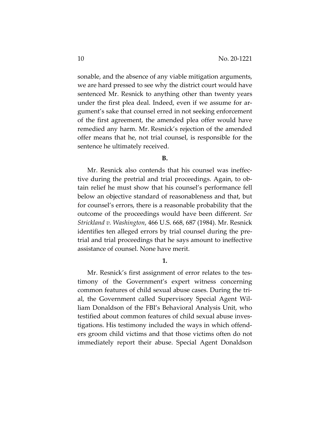sonable, and the absence of any viable mitigation arguments, we are hard pressed to see why the district court would have sentenced Mr. Resnick to anything other than twenty years under the first plea deal. Indeed, even if we assume for argument's sake that counsel erred in not seeking enforcement of the first agreement, the amended plea offer would have remedied any harm. Mr. Resnick's rejection of the amended offer means that he, not trial counsel, is responsible for the sentence he ultimately received.

#### **B.**

Mr. Resnick also contends that his counsel was ineffective during the pretrial and trial proceedings. Again, to obtain relief he must show that his counsel's performance fell below an objective standard of reasonableness and that, but for counsel's errors, there is a reasonable probability that the outcome of the proceedings would have been different. *See Strickland v. Washington*, 466 U.S. 668, 687 (1984). Mr. Resnick identifies ten alleged errors by trial counsel during the pretrial and trial proceedings that he says amount to ineffective assistance of counsel. None have merit.

# **1.**

Mr. Resnick's first assignment of error relates to the testimony of the Government's expert witness concerning common features of child sexual abuse cases. During the trial, the Government called Supervisory Special Agent William Donaldson of the FBI's Behavioral Analysis Unit, who testified about common features of child sexual abuse investigations. His testimony included the ways in which offenders groom child victims and that those victims often do not immediately report their abuse. Special Agent Donaldson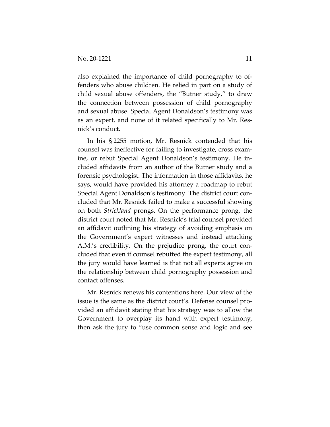also explained the importance of child pornography to offenders who abuse children. He relied in part on a study of child sexual abuse offenders, the "Butner study," to draw the connection between possession of child pornography and sexual abuse. Special Agent Donaldson's testimony was as an expert, and none of it related specifically to Mr. Resnick's conduct.

In his § 2255 motion, Mr. Resnick contended that his counsel was ineffective for failing to investigate, cross examine, or rebut Special Agent Donaldson's testimony. He included affidavits from an author of the Butner study and a forensic psychologist. The information in those affidavits, he says, would have provided his attorney a roadmap to rebut Special Agent Donaldson's testimony. The district court concluded that Mr. Resnick failed to make a successful showing on both *Strickland* prongs. On the performance prong, the district court noted that Mr. Resnick's trial counsel provided an affidavit outlining his strategy of avoiding emphasis on the Government's expert witnesses and instead attacking A.M.'s credibility. On the prejudice prong, the court concluded that even if counsel rebutted the expert testimony, all the jury would have learned is that not all experts agree on the relationship between child pornography possession and contact offenses.

Mr. Resnick renews his contentions here. Our view of the issue is the same as the district court's. Defense counsel provided an affidavit stating that his strategy was to allow the Government to overplay its hand with expert testimony, then ask the jury to "use common sense and logic and see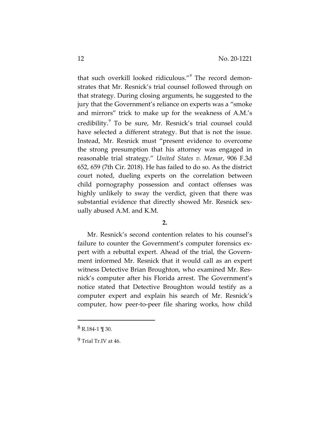that such overkill looked ridiculous."<sup>8</sup> The record demonstrates that Mr. Resnick's trial counsel followed through on that strategy. During closing arguments, he suggested to the jury that the Government's reliance on experts was a "smoke and mirrors" trick to make up for the weakness of A.M.'s credibility.<sup>9</sup> To be sure, Mr. Resnick's trial counsel could have selected a different strategy. But that is not the issue. Instead, Mr. Resnick must "present evidence to overcome the strong presumption that his attorney was engaged in reasonable trial strategy." *United States v. Memar*, 906 F.3d 652, 659 (7th Cir. 2018). He has failed to do so. As the district court noted, dueling experts on the correlation between child pornography possession and contact offenses was highly unlikely to sway the verdict, given that there was substantial evidence that directly showed Mr. Resnick sexually abused A.M. and K.M.

#### **2.**

Mr. Resnick's second contention relates to his counsel's failure to counter the Government's computer forensics expert with a rebuttal expert. Ahead of the trial, the Government informed Mr. Resnick that it would call as an expert witness Detective Brian Broughton, who examined Mr. Resnick's computer after his Florida arrest. The Government's notice stated that Detective Broughton would testify as a computer expert and explain his search of Mr. Resnick's computer, how peer-to-peer file sharing works, how child

<sup>8</sup> R.184-1 ¶ 30.

 $9$  Trial Tr IV at 46.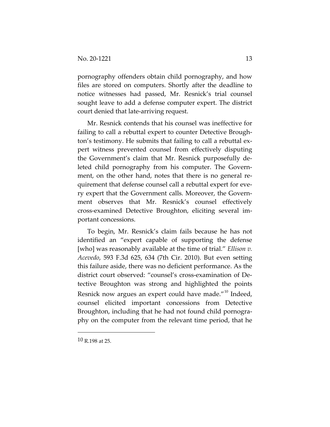pornography offenders obtain child pornography, and how files are stored on computers. Shortly after the deadline to notice witnesses had passed, Mr. Resnick's trial counsel sought leave to add a defense computer expert. The district court denied that late-arriving request.

Mr. Resnick contends that his counsel was ineffective for failing to call a rebuttal expert to counter Detective Broughton's testimony. He submits that failing to call a rebuttal expert witness prevented counsel from effectively disputing the Government's claim that Mr. Resnick purposefully deleted child pornography from his computer. The Government, on the other hand, notes that there is no general requirement that defense counsel call a rebuttal expert for every expert that the Government calls. Moreover, the Government observes that Mr. Resnick's counsel effectively cross-examined Detective Broughton, eliciting several important concessions.

To begin, Mr. Resnick's claim fails because he has not identified an "expert capable of supporting the defense [who] was reasonably available at the time of trial." *Ellison v. Acevedo*, 593 F.3d 625, 634 (7th Cir. 2010). But even setting this failure aside, there was no deficient performance. As the district court observed: "counsel's cross-examination of Detective Broughton was strong and highlighted the points Resnick now argues an expert could have made."<sup>10</sup> Indeed, counsel elicited important concessions from Detective Broughton, including that he had not found child pornography on the computer from the relevant time period, that he

<sup>10</sup> R.198 at 25.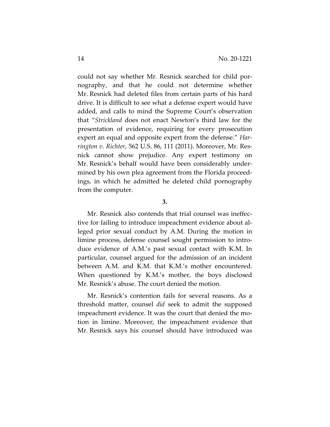could not say whether Mr. Resnick searched for child pornography, and that he could not determine whether Mr. Resnick had deleted files from certain parts of his hard drive. It is difficult to see what a defense expert would have added, and calls to mind the Supreme Court's observation that "*Strickland* does not enact Newton's third law for the presentation of evidence, requiring for every prosecution expert an equal and opposite expert from the defense." *Harrington v. Richter*, 562 U.S. 86, 111 (2011). Moreover, Mr. Resnick cannot show prejudice. Any expert testimony on Mr. Resnick's behalf would have been considerably undermined by his own plea agreement from the Florida proceedings, in which he admitted he deleted child pornography from the computer.

## **3.**

Mr. Resnick also contends that trial counsel was ineffective for failing to introduce impeachment evidence about alleged prior sexual conduct by A.M. During the motion in limine process, defense counsel sought permission to introduce evidence of A.M.'s past sexual contact with K.M. In particular, counsel argued for the admission of an incident between A.M. and K.M. that K.M.'s mother encountered. When questioned by K.M.'s mother, the boys disclosed Mr. Resnick's abuse. The court denied the motion.

Mr. Resnick's contention fails for several reasons. As a threshold matter, counsel *did* seek to admit the supposed impeachment evidence. It was the court that denied the motion in limine. Moreover, the impeachment evidence that Mr. Resnick says his counsel should have introduced was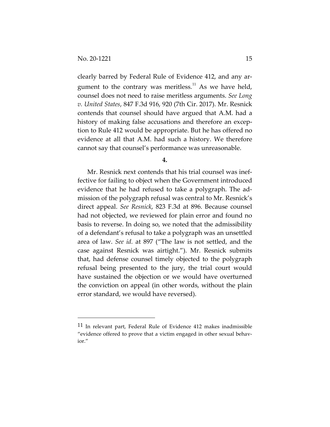clearly barred by Federal Rule of Evidence 412, and any argument to the contrary was meritless.<sup>11</sup> As we have held, counsel does not need to raise meritless arguments. *See Long v. United States*, 847 F.3d 916, 920 (7th Cir. 2017). Mr. Resnick contends that counsel should have argued that A.M. had a history of making false accusations and therefore an exception to Rule 412 would be appropriate. But he has offered no evidence at all that A.M. had such a history. We therefore cannot say that counsel's performance was unreasonable.

**4.**

Mr. Resnick next contends that his trial counsel was ineffective for failing to object when the Government introduced evidence that he had refused to take a polygraph. The admission of the polygraph refusal was central to Mr. Resnick's direct appeal. *See Resnick*, 823 F.3d at 896. Because counsel had not objected, we reviewed for plain error and found no basis to reverse. In doing so, we noted that the admissibility of a defendant's refusal to take a polygraph was an unsettled area of law. *See id.* at 897 ("The law is not settled, and the case against Resnick was airtight."). Mr. Resnick submits that, had defense counsel timely objected to the polygraph refusal being presented to the jury, the trial court would have sustained the objection or we would have overturned the conviction on appeal (in other words, without the plain error standard, we would have reversed).

<sup>11</sup> In relevant part, Federal Rule of Evidence 412 makes inadmissible "evidence offered to prove that a victim engaged in other sexual behavior."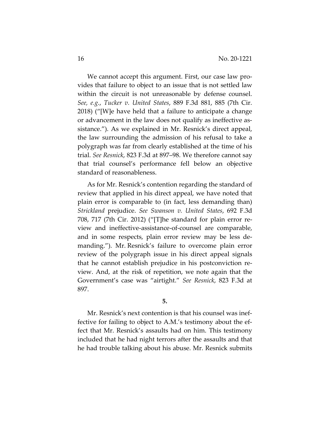We cannot accept this argument. First, our case law provides that failure to object to an issue that is not settled law within the circuit is not unreasonable by defense counsel. *See, e.g.*, *Tucker v. United States*, 889 F.3d 881, 885 (7th Cir. 2018) ("[W]e have held that a failure to anticipate a change or advancement in the law does not qualify as ineffective assistance."). As we explained in Mr. Resnick's direct appeal, the law surrounding the admission of his refusal to take a polygraph was far from clearly established at the time of his trial. *See Resnick*, 823 F.3d at 897–98. We therefore cannot say that trial counsel's performance fell below an objective standard of reasonableness.

As for Mr. Resnick's contention regarding the standard of review that applied in his direct appeal, we have noted that plain error is comparable to (in fact, less demanding than) *Strickland* prejudice. *See Swanson v. United States*, 692 F.3d 708, 717 (7th Cir. 2012) ("[T]he standard for plain error review and ineffective-assistance-of-counsel are comparable, and in some respects, plain error review may be less demanding."). Mr. Resnick's failure to overcome plain error review of the polygraph issue in his direct appeal signals that he cannot establish prejudice in his postconviction review. And, at the risk of repetition, we note again that the Government's case was "airtight." *See Resnick*, 823 F.3d at 897.

**5.**

Mr. Resnick's next contention is that his counsel was ineffective for failing to object to A.M.'s testimony about the effect that Mr. Resnick's assaults had on him. This testimony included that he had night terrors after the assaults and that he had trouble talking about his abuse. Mr. Resnick submits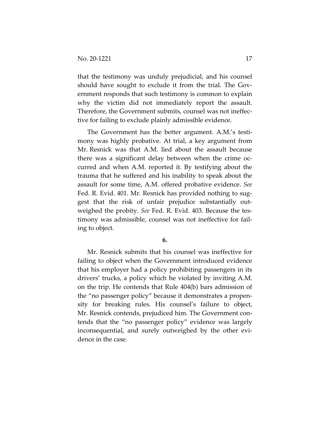that the testimony was unduly prejudicial, and his counsel should have sought to exclude it from the trial. The Government responds that such testimony is common to explain why the victim did not immediately report the assault. Therefore, the Government submits, counsel was not ineffective for failing to exclude plainly admissible evidence.

The Government has the better argument. A.M.'s testimony was highly probative. At trial, a key argument from Mr. Resnick was that A.M. lied about the assault because there was a significant delay between when the crime occurred and when A.M. reported it. By testifying about the trauma that he suffered and his inability to speak about the assault for some time, A.M. offered probative evidence. *See*  Fed. R. Evid. 401. Mr. Resnick has provided nothing to suggest that the risk of unfair prejudice substantially outweighed the probity. *See* Fed. R. Evid. 403. Because the testimony was admissible, counsel was not ineffective for failing to object.

## **6.**

Mr. Resnick submits that his counsel was ineffective for failing to object when the Government introduced evidence that his employer had a policy prohibiting passengers in its drivers' trucks, a policy which he violated by inviting A.M. on the trip. He contends that Rule 404(b) bars admission of the "no passenger policy" because it demonstrates a propensity for breaking rules. His counsel's failure to object, Mr. Resnick contends, prejudiced him. The Government contends that the "no passenger policy" evidence was largely inconsequential, and surely outweighed by the other evidence in the case.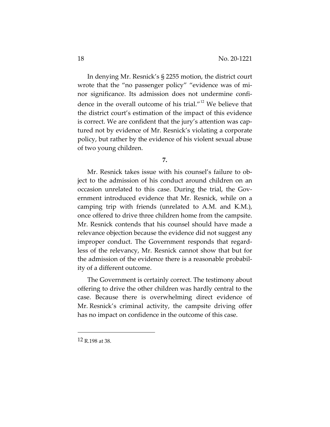In denying Mr. Resnick's § 2255 motion, the district court wrote that the "no passenger policy" "evidence was of minor significance. Its admission does not undermine confidence in the overall outcome of his trial."<sup>12</sup> We believe that the district court's estimation of the impact of this evidence is correct. We are confident that the jury's attention was captured not by evidence of Mr. Resnick's violating a corporate policy, but rather by the evidence of his violent sexual abuse of two young children.

**7.**

Mr. Resnick takes issue with his counsel's failure to object to the admission of his conduct around children on an occasion unrelated to this case. During the trial, the Government introduced evidence that Mr. Resnick, while on a camping trip with friends (unrelated to A.M. and K.M.), once offered to drive three children home from the campsite. Mr. Resnick contends that his counsel should have made a relevance objection because the evidence did not suggest any improper conduct. The Government responds that regardless of the relevancy, Mr. Resnick cannot show that but for the admission of the evidence there is a reasonable probability of a different outcome.

The Government is certainly correct. The testimony about offering to drive the other children was hardly central to the case. Because there is overwhelming direct evidence of Mr. Resnick's criminal activity, the campsite driving offer has no impact on confidence in the outcome of this case.

<sup>12</sup> R.198 at 38.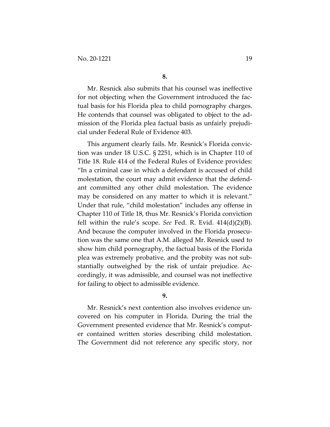Mr. Resnick also submits that his counsel was ineffective for not objecting when the Government introduced the factual basis for his Florida plea to child pornography charges. He contends that counsel was obligated to object to the admission of the Florida plea factual basis as unfairly prejudicial under Federal Rule of Evidence 403.

This argument clearly fails. Mr. Resnick's Florida conviction was under 18 U.S.C. § 2251, which is in Chapter 110 of Title 18. Rule 414 of the Federal Rules of Evidence provides: "In a criminal case in which a defendant is accused of child molestation, the court may admit evidence that the defendant committed any other child molestation. The evidence may be considered on any matter to which it is relevant." Under that rule, "child molestation" includes any offense in Chapter 110 of Title 18, thus Mr. Resnick's Florida conviction fell within the rule's scope. *See* Fed. R. Evid. 414(d)(2)(B). And because the computer involved in the Florida prosecution was the same one that A.M. alleged Mr. Resnick used to show him child pornography, the factual basis of the Florida plea was extremely probative, and the probity was not substantially outweighed by the risk of unfair prejudice. Accordingly, it was admissible, and counsel was not ineffective for failing to object to admissible evidence.

**9.**

Mr. Resnick's next contention also involves evidence uncovered on his computer in Florida. During the trial the Government presented evidence that Mr. Resnick's computer contained written stories describing child molestation. The Government did not reference any specific story, nor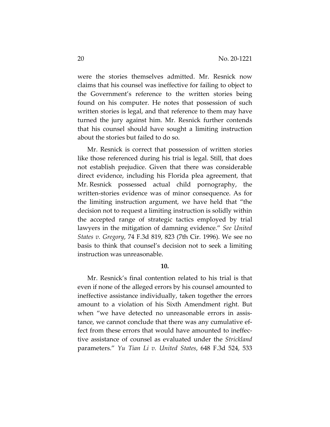were the stories themselves admitted. Mr. Resnick now claims that his counsel was ineffective for failing to object to the Government's reference to the written stories being found on his computer. He notes that possession of such written stories is legal, and that reference to them may have turned the jury against him. Mr. Resnick further contends that his counsel should have sought a limiting instruction about the stories but failed to do so.

Mr. Resnick is correct that possession of written stories like those referenced during his trial is legal. Still, that does not establish prejudice. Given that there was considerable direct evidence, including his Florida plea agreement, that Mr. Resnick possessed actual child pornography, the written-stories evidence was of minor consequence. As for the limiting instruction argument, we have held that "the decision not to request a limiting instruction is solidly within the accepted range of strategic tactics employed by trial lawyers in the mitigation of damning evidence." *See United States v. Gregory*, 74 F.3d 819, 823 (7th Cir. 1996). We see no basis to think that counsel's decision not to seek a limiting instruction was unreasonable.

#### **10.**

Mr. Resnick's final contention related to his trial is that even if none of the alleged errors by his counsel amounted to ineffective assistance individually, taken together the errors amount to a violation of his Sixth Amendment right. But when "we have detected no unreasonable errors in assistance, we cannot conclude that there was any cumulative effect from these errors that would have amounted to ineffective assistance of counsel as evaluated under the *Strickland* parameters." *Yu Tian Li v. United States*, 648 F.3d 524, 533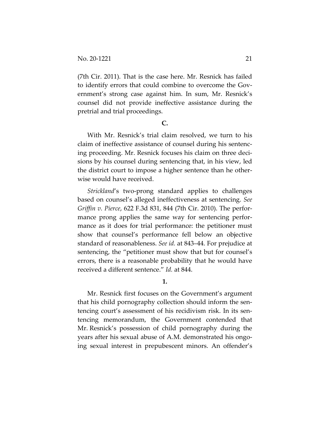(7th Cir. 2011). That is the case here. Mr. Resnick has failed to identify errors that could combine to overcome the Government's strong case against him. In sum, Mr. Resnick's counsel did not provide ineffective assistance during the pretrial and trial proceedings.

## **C.**

With Mr. Resnick's trial claim resolved, we turn to his claim of ineffective assistance of counsel during his sentencing proceeding. Mr. Resnick focuses his claim on three decisions by his counsel during sentencing that, in his view, led the district court to impose a higher sentence than he otherwise would have received.

*Strickland*'s two-prong standard applies to challenges based on counsel's alleged ineffectiveness at sentencing. *See Griffin v. Pierce*, 622 F.3d 831, 844 (7th Cir. 2010). The performance prong applies the same way for sentencing performance as it does for trial performance: the petitioner must show that counsel's performance fell below an objective standard of reasonableness. *See id.* at 843–44. For prejudice at sentencing, the "petitioner must show that but for counsel's errors, there is a reasonable probability that he would have received a different sentence." *Id.* at 844.

# **1.**

Mr. Resnick first focuses on the Government's argument that his child pornography collection should inform the sentencing court's assessment of his recidivism risk. In its sentencing memorandum, the Government contended that Mr. Resnick's possession of child pornography during the years after his sexual abuse of A.M. demonstrated his ongoing sexual interest in prepubescent minors. An offender's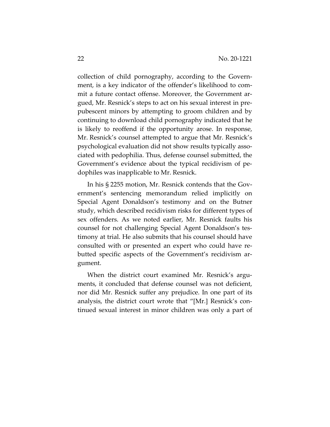collection of child pornography, according to the Government, is a key indicator of the offender's likelihood to commit a future contact offense. Moreover, the Government argued, Mr. Resnick's steps to act on his sexual interest in prepubescent minors by attempting to groom children and by continuing to download child pornography indicated that he is likely to reoffend if the opportunity arose. In response, Mr. Resnick's counsel attempted to argue that Mr. Resnick's psychological evaluation did not show results typically associated with pedophilia. Thus, defense counsel submitted, the Government's evidence about the typical recidivism of pedophiles was inapplicable to Mr. Resnick.

In his § 2255 motion, Mr. Resnick contends that the Government's sentencing memorandum relied implicitly on Special Agent Donaldson's testimony and on the Butner study, which described recidivism risks for different types of sex offenders. As we noted earlier, Mr. Resnick faults his counsel for not challenging Special Agent Donaldson's testimony at trial. He also submits that his counsel should have consulted with or presented an expert who could have rebutted specific aspects of the Government's recidivism argument.

When the district court examined Mr. Resnick's arguments, it concluded that defense counsel was not deficient, nor did Mr. Resnick suffer any prejudice. In one part of its analysis, the district court wrote that "[Mr.] Resnick's continued sexual interest in minor children was only a part of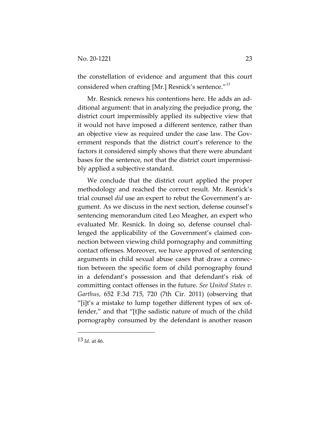the constellation of evidence and argument that this court considered when crafting [Mr.] Resnick's sentence."<sup>13</sup>

Mr. Resnick renews his contentions here. He adds an additional argument: that in analyzing the prejudice prong, the district court impermissibly applied its subjective view that it would not have imposed a different sentence, rather than an objective view as required under the case law. The Government responds that the district court's reference to the factors it considered simply shows that there were abundant bases for the sentence, not that the district court impermissibly applied a subjective standard.

We conclude that the district court applied the proper methodology and reached the correct result. Mr. Resnick's trial counsel *did* use an expert to rebut the Government's argument. As we discuss in the next section, defense counsel's sentencing memorandum cited Leo Meagher, an expert who evaluated Mr. Resnick. In doing so, defense counsel challenged the applicability of the Government's claimed connection between viewing child pornography and committing contact offenses. Moreover, we have approved of sentencing arguments in child sexual abuse cases that draw a connection between the specific form of child pornography found in a defendant's possession and that defendant's risk of committing contact offenses in the future. *See United States v. Garthus*, 652 F.3d 715, 720 (7th Cir. 2011) (observing that "[i]t's a mistake to lump together different types of sex offender," and that "[t]he sadistic nature of much of the child pornography consumed by the defendant is another reason

 $13 \, \text{Id}$  at 46.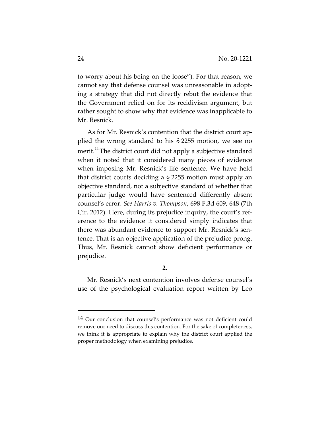to worry about his being on the loose"). For that reason, we cannot say that defense counsel was unreasonable in adopting a strategy that did not directly rebut the evidence that the Government relied on for its recidivism argument, but rather sought to show why that evidence was inapplicable to Mr. Resnick.

As for Mr. Resnick's contention that the district court applied the wrong standard to his § 2255 motion, we see no merit.<sup>14</sup> The district court did not apply a subjective standard when it noted that it considered many pieces of evidence when imposing Mr. Resnick's life sentence. We have held that district courts deciding a § 2255 motion must apply an objective standard, not a subjective standard of whether that particular judge would have sentenced differently absent counsel's error. *See Harris v. Thompson*, 698 F.3d 609, 648 (7th Cir. 2012). Here, during its prejudice inquiry, the court's reference to the evidence it considered simply indicates that there was abundant evidence to support Mr. Resnick's sentence. That is an objective application of the prejudice prong. Thus, Mr. Resnick cannot show deficient performance or prejudice.

# **2.**

Mr. Resnick's next contention involves defense counsel's use of the psychological evaluation report written by Leo

<sup>&</sup>lt;sup>14</sup> Our conclusion that counsel's performance was not deficient could remove our need to discuss this contention. For the sake of completeness, we think it is appropriate to explain why the district court applied the proper methodology when examining prejudice.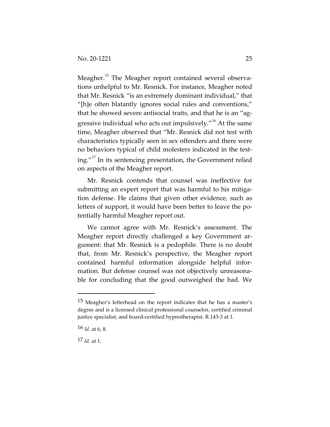Meagher.<sup>15</sup> The Meagher report contained several observations unhelpful to Mr. Resnick. For instance, Meagher noted that Mr. Resnick "is an extremely dominant individual," that "[h]e often blatantly ignores social rules and conventions," that he showed severe antisocial traits, and that he is an "aggressive individual who acts out impulsively. $16$ <sup>16</sup> At the same time, Meagher observed that "Mr. Resnick did not test with characteristics typically seen in sex offenders and there were no behaviors typical of child molesters indicated in the testing."<sup>17</sup> In its sentencing presentation, the Government relied on aspects of the Meagher report.

Mr. Resnick contends that counsel was ineffective for submitting an expert report that was harmful to his mitigation defense. He claims that given other evidence, such as letters of support, it would have been better to leave the potentially harmful Meagher report out.

We cannot agree with Mr. Resnick's assessment. The Meagher report directly challenged a key Government argument: that Mr. Resnick is a pedophile. There is no doubt that, from Mr. Resnick's perspective, the Meagher report contained harmful information alongside helpful information. But defense counsel was not objectively unreasonable for concluding that the good outweighed the bad. We

<sup>15</sup> Meagher's letterhead on the report indicates that he has a master's degree and is a licensed clinical professional counselor, certified criminal justice specialist, and board-certified hypnotherapist. R.143-3 at 1.

<sup>16</sup> *Id.* at 6, 8.

 $17 \,$ *Id.* at 1.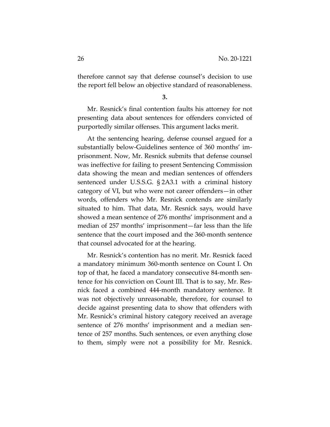therefore cannot say that defense counsel's decision to use the report fell below an objective standard of reasonableness.

**3.**

Mr. Resnick's final contention faults his attorney for not presenting data about sentences for offenders convicted of purportedly similar offenses. This argument lacks merit.

At the sentencing hearing, defense counsel argued for a substantially below-Guidelines sentence of 360 months' imprisonment. Now, Mr. Resnick submits that defense counsel was ineffective for failing to present Sentencing Commission data showing the mean and median sentences of offenders sentenced under U.S.S.G. § 2A3.1 with a criminal history category of VI, but who were not career offenders—in other words, offenders who Mr. Resnick contends are similarly situated to him. That data, Mr. Resnick says, would have showed a mean sentence of 276 months' imprisonment and a median of 257 months' imprisonment—far less than the life sentence that the court imposed and the 360-month sentence that counsel advocated for at the hearing.

Mr. Resnick's contention has no merit. Mr. Resnick faced a mandatory minimum 360-month sentence on Count I. On top of that, he faced a mandatory consecutive 84-month sentence for his conviction on Count III. That is to say, Mr. Resnick faced a combined 444-month mandatory sentence. It was not objectively unreasonable, therefore, for counsel to decide against presenting data to show that offenders with Mr. Resnick's criminal history category received an average sentence of 276 months' imprisonment and a median sentence of 257 months. Such sentences, or even anything close to them, simply were not a possibility for Mr. Resnick.